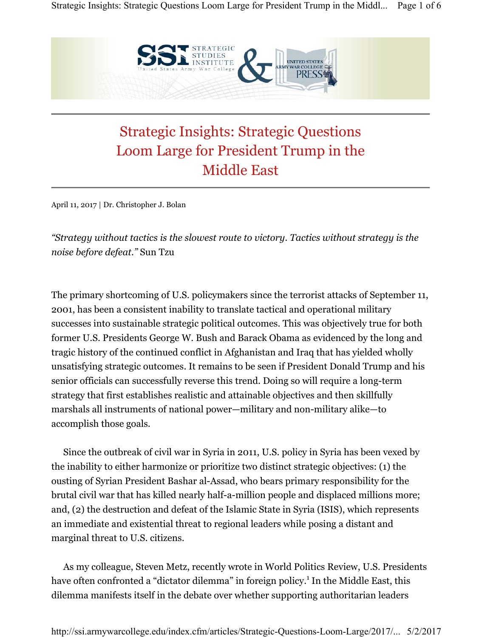

## Strategic Insights: Strategic Questions Loom Large for President Trump in the Middle East

April 11, 2017 | Dr. Christopher J. Bolan

*"Strategy without tactics is the slowest route to victory. Tactics without strategy is the noise before defeat."* Sun Tzu

The primary shortcoming of U.S. policymakers since the terrorist attacks of September 11, 2001, has been a consistent inability to translate tactical and operational military successes into sustainable strategic political outcomes. This was objectively true for both former U.S. Presidents George W. Bush and Barack Obama as evidenced by the long and tragic history of the continued conflict in Afghanistan and Iraq that has yielded wholly unsatisfying strategic outcomes. It remains to be seen if President Donald Trump and his senior officials can successfully reverse this trend. Doing so will require a long-term strategy that first establishes realistic and attainable objectives and then skillfully marshals all instruments of national power—military and non-military alike—to accomplish those goals.

Since the outbreak of civil war in Syria in 2011, U.S. policy in Syria has been vexed by the inability to either harmonize or prioritize two distinct strategic objectives: (1) the ousting of Syrian President Bashar al-Assad, who bears primary responsibility for the brutal civil war that has killed nearly half-a-million people and displaced millions more; and, (2) the destruction and defeat of the Islamic State in Syria (ISIS), which represents an immediate and existential threat to regional leaders while posing a distant and marginal threat to U.S. citizens.

As my colleague, Steven Metz, recently wrote in World Politics Review, U.S. Presidents have often confronted a "dictator dilemma" in foreign policy.<sup>1</sup> In the Middle East, this dilemma manifests itself in the debate over whether supporting authoritarian leaders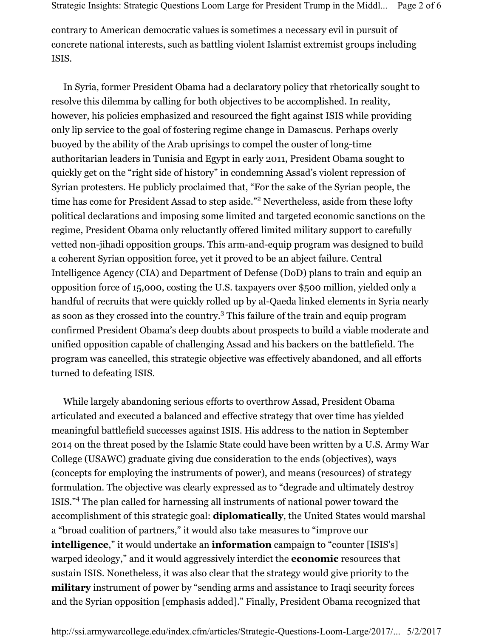contrary to American democratic values is sometimes a necessary evil in pursuit of concrete national interests, such as battling violent Islamist extremist groups including ISIS.

In Syria, former President Obama had a declaratory policy that rhetorically sought to resolve this dilemma by calling for both objectives to be accomplished. In reality, however, his policies emphasized and resourced the fight against ISIS while providing only lip service to the goal of fostering regime change in Damascus. Perhaps overly buoyed by the ability of the Arab uprisings to compel the ouster of long-time authoritarian leaders in Tunisia and Egypt in early 2011, President Obama sought to quickly get on the "right side of history" in condemning Assad's violent repression of Syrian protesters. He publicly proclaimed that, "For the sake of the Syrian people, the time has come for President Assad to step aside."<sup>2</sup> Nevertheless, aside from these lofty political declarations and imposing some limited and targeted economic sanctions on the regime, President Obama only reluctantly offered limited military support to carefully vetted non-jihadi opposition groups. This arm-and-equip program was designed to build a coherent Syrian opposition force, yet it proved to be an abject failure. Central Intelligence Agency (CIA) and Department of Defense (DoD) plans to train and equip an opposition force of 15,000, costing the U.S. taxpayers over \$500 million, yielded only a handful of recruits that were quickly rolled up by al-Qaeda linked elements in Syria nearly as soon as they crossed into the country.<sup>3</sup> This failure of the train and equip program confirmed President Obama's deep doubts about prospects to build a viable moderate and unified opposition capable of challenging Assad and his backers on the battlefield. The program was cancelled, this strategic objective was effectively abandoned, and all efforts turned to defeating ISIS.

While largely abandoning serious efforts to overthrow Assad, President Obama articulated and executed a balanced and effective strategy that over time has yielded meaningful battlefield successes against ISIS. His address to the nation in September 2014 on the threat posed by the Islamic State could have been written by a U.S. Army War College (USAWC) graduate giving due consideration to the ends (objectives), ways (concepts for employing the instruments of power), and means (resources) of strategy formulation. The objective was clearly expressed as to "degrade and ultimately destroy ISIS."<sup>4</sup> The plan called for harnessing all instruments of national power toward the accomplishment of this strategic goal: **diplomatically**, the United States would marshal a "broad coalition of partners," it would also take measures to "improve our **intelligence**," it would undertake an **information** campaign to "counter [ISIS's] warped ideology," and it would aggressively interdict the **economic** resources that sustain ISIS. Nonetheless, it was also clear that the strategy would give priority to the **military** instrument of power by "sending arms and assistance to Iraqi security forces and the Syrian opposition [emphasis added]." Finally, President Obama recognized that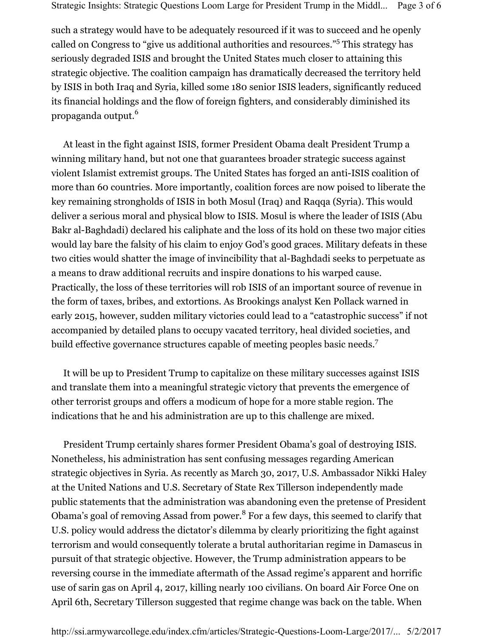such a strategy would have to be adequately resourced if it was to succeed and he openly called on Congress to "give us additional authorities and resources."5 This strategy has seriously degraded ISIS and brought the United States much closer to attaining this strategic objective. The coalition campaign has dramatically decreased the territory held by ISIS in both Iraq and Syria, killed some 180 senior ISIS leaders, significantly reduced its financial holdings and the flow of foreign fighters, and considerably diminished its propaganda output.<sup>6</sup>

At least in the fight against ISIS, former President Obama dealt President Trump a winning military hand, but not one that guarantees broader strategic success against violent Islamist extremist groups. The United States has forged an anti-ISIS coalition of more than 60 countries. More importantly, coalition forces are now poised to liberate the key remaining strongholds of ISIS in both Mosul (Iraq) and Raqqa (Syria). This would deliver a serious moral and physical blow to ISIS. Mosul is where the leader of ISIS (Abu Bakr al-Baghdadi) declared his caliphate and the loss of its hold on these two major cities would lay bare the falsity of his claim to enjoy God's good graces. Military defeats in these two cities would shatter the image of invincibility that al-Baghdadi seeks to perpetuate as a means to draw additional recruits and inspire donations to his warped cause. Practically, the loss of these territories will rob ISIS of an important source of revenue in the form of taxes, bribes, and extortions. As Brookings analyst Ken Pollack warned in early 2015, however, sudden military victories could lead to a "catastrophic success" if not accompanied by detailed plans to occupy vacated territory, heal divided societies, and build effective governance structures capable of meeting peoples basic needs.<sup>7</sup>

It will be up to President Trump to capitalize on these military successes against ISIS and translate them into a meaningful strategic victory that prevents the emergence of other terrorist groups and offers a modicum of hope for a more stable region. The indications that he and his administration are up to this challenge are mixed.

President Trump certainly shares former President Obama's goal of destroying ISIS. Nonetheless, his administration has sent confusing messages regarding American strategic objectives in Syria. As recently as March 30, 2017, U.S. Ambassador Nikki Haley at the United Nations and U.S. Secretary of State Rex Tillerson independently made public statements that the administration was abandoning even the pretense of President Obama's goal of removing Assad from power.<sup>8</sup> For a few days, this seemed to clarify that U.S. policy would address the dictator's dilemma by clearly prioritizing the fight against terrorism and would consequently tolerate a brutal authoritarian regime in Damascus in pursuit of that strategic objective. However, the Trump administration appears to be reversing course in the immediate aftermath of the Assad regime's apparent and horrific use of sarin gas on April 4, 2017, killing nearly 100 civilians. On board Air Force One on April 6th, Secretary Tillerson suggested that regime change was back on the table. When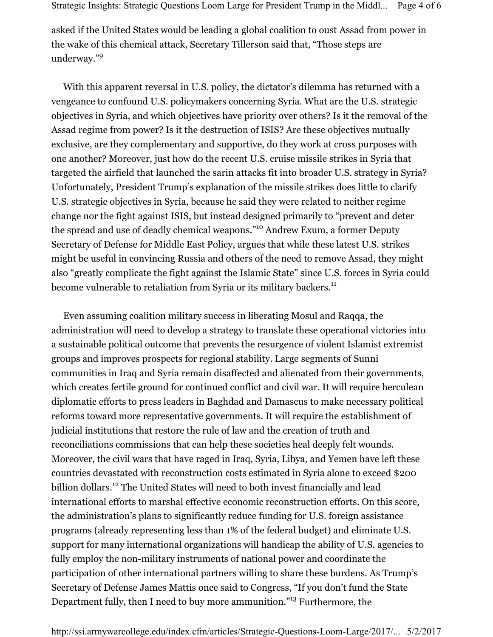asked if the United States would be leading a global coalition to oust Assad from power in the wake of this chemical attack, Secretary Tillerson said that, "Those steps are underway."<sup>9</sup>

With this apparent reversal in U.S. policy, the dictator's dilemma has returned with a vengeance to confound U.S. policymakers concerning Syria. What are the U.S. strategic objectives in Syria, and which objectives have priority over others? Is it the removal of the Assad regime from power? Is it the destruction of ISIS? Are these objectives mutually exclusive, are they complementary and supportive, do they work at cross purposes with one another? Moreover, just how do the recent U.S. cruise missile strikes in Syria that targeted the airfield that launched the sarin attacks fit into broader U.S. strategy in Syria? Unfortunately, President Trump's explanation of the missile strikes does little to clarify U.S. strategic objectives in Syria, because he said they were related to neither regime change nor the fight against ISIS, but instead designed primarily to "prevent and deter the spread and use of deadly chemical weapons."10 Andrew Exum, a former Deputy Secretary of Defense for Middle East Policy, argues that while these latest U.S. strikes might be useful in convincing Russia and others of the need to remove Assad, they might also "greatly complicate the fight against the Islamic State" since U.S. forces in Syria could become vulnerable to retaliation from Syria or its military backers.<sup>11</sup>

Even assuming coalition military success in liberating Mosul and Raqqa, the administration will need to develop a strategy to translate these operational victories into a sustainable political outcome that prevents the resurgence of violent Islamist extremist groups and improves prospects for regional stability. Large segments of Sunni communities in Iraq and Syria remain disaffected and alienated from their governments, which creates fertile ground for continued conflict and civil war. It will require herculean diplomatic efforts to press leaders in Baghdad and Damascus to make necessary political reforms toward more representative governments. It will require the establishment of judicial institutions that restore the rule of law and the creation of truth and reconciliations commissions that can help these societies heal deeply felt wounds. Moreover, the civil wars that have raged in Iraq, Syria, Libya, and Yemen have left these countries devastated with reconstruction costs estimated in Syria alone to exceed \$200 billion dollars.<sup>12</sup> The United States will need to both invest financially and lead international efforts to marshal effective economic reconstruction efforts. On this score, the administration's plans to significantly reduce funding for U.S. foreign assistance programs (already representing less than 1% of the federal budget) and eliminate U.S. support for many international organizations will handicap the ability of U.S. agencies to fully employ the non-military instruments of national power and coordinate the participation of other international partners willing to share these burdens. As Trump's Secretary of Defense James Mattis once said to Congress, "If you don't fund the State Department fully, then I need to buy more ammunition."13 Furthermore, the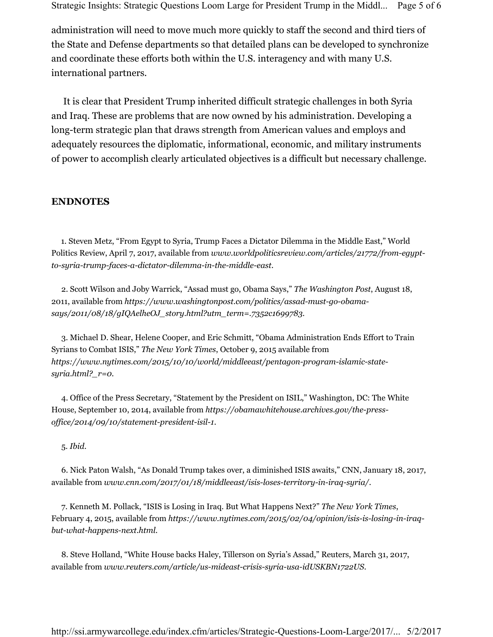Strategic Insights: Strategic Questions Loom Large for President Trump in the Middl... Page 5 of 6

administration will need to move much more quickly to staff the second and third tiers of the State and Defense departments so that detailed plans can be developed to synchronize and coordinate these efforts both within the U.S. interagency and with many U.S. international partners.

It is clear that President Trump inherited difficult strategic challenges in both Syria and Iraq. These are problems that are now owned by his administration. Developing a long-term strategic plan that draws strength from American values and employs and adequately resources the diplomatic, informational, economic, and military instruments of power to accomplish clearly articulated objectives is a difficult but necessary challenge.

## **ENDNOTES**

 1. Steven Metz, "From Egypt to Syria, Trump Faces a Dictator Dilemma in the Middle East," World Politics Review, April 7, 2017, available from *www.worldpoliticsreview.com/articles/21772/from-egyptto-syria-trump-faces-a-dictator-dilemma-in-the-middle-east*.

2. Scott Wilson and Joby Warrick, "Assad must go, Obama Says," *The Washington Post*, August 18, 2011, available from *https://www.washingtonpost.com/politics/assad-must-go-obamasays/2011/08/18/gIQAelheOJ\_story.html?utm\_term=.7352c1699783*.

3. Michael D. Shear, Helene Cooper, and Eric Schmitt, "Obama Administration Ends Effort to Train Syrians to Combat ISIS," *The New York Times*, October 9, 2015 available from *https://www.nytimes.com/2015/10/10/world/middleeast/pentagon-program-islamic-statesyria.html?\_r=0*.

4. Office of the Press Secretary, "Statement by the President on ISIL," Washington, DC: The White House, September 10, 2014, available from *https://obamawhitehouse.archives.gov/the-pressoffice/2014/09/10/statement-president-isil-1*.

5. *Ibid.*

6. Nick Paton Walsh, "As Donald Trump takes over, a diminished ISIS awaits," CNN, January 18, 2017, available from *www.cnn.com/2017/01/18/middleeast/isis-loses-territory-in-iraq-syria/*.

7. Kenneth M. Pollack, "ISIS is Losing in Iraq. But What Happens Next?" *The New York Times*, February 4, 2015, available from *https://www.nytimes.com/2015/02/04/opinion/isis-is-losing-in-iraqbut-what-happens-next.html*.

8. Steve Holland, "White House backs Haley, Tillerson on Syria's Assad," Reuters, March 31, 2017, available from *www.reuters.com/article/us-mideast-crisis-syria-usa-idUSKBN1722US*.